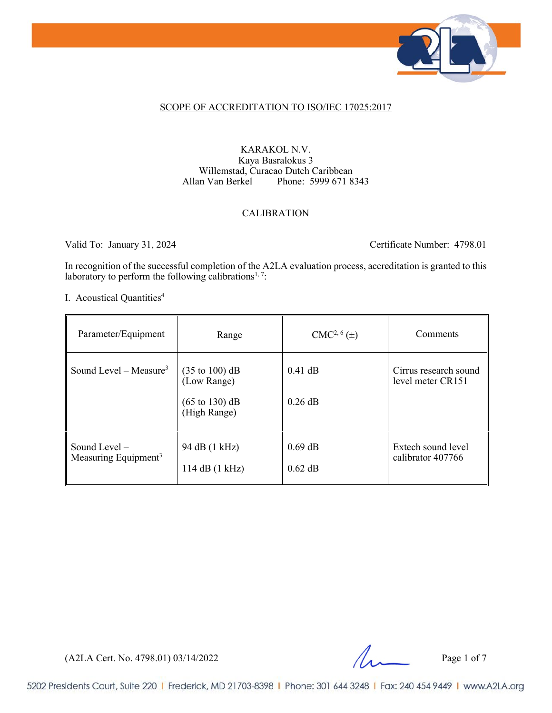

#### SCOPE OF ACCREDITATION TO ISO/IEC 17025:2017

#### KARAKOL N.V. Kaya Basralokus 3 Willemstad, Curacao Dutch Caribbean<br>Allan Van Berkel Phone: 5999 671 8 Phone: 5999 671 8343

#### CALIBRATION

Valid To: January 31, 2024 Certificate Number: 4798.01

In recognition of the successful completion of the A2LA evaluation process, accreditation is granted to this laboratory to perform the following calibrations<sup>1, 7</sup>:

I. Acoustical Quantities<sup>4</sup>

| Parameter/Equipment                                 | Range                                                                                                 | $CMC2, 6(\pm)$         | Comments                                   |
|-----------------------------------------------------|-------------------------------------------------------------------------------------------------------|------------------------|--------------------------------------------|
| Sound Level – Measure <sup>3</sup>                  | $(35 \text{ to } 100) \text{ dB}$<br>(Low Range)<br>$(65 \text{ to } 130) \text{ dB}$<br>(High Range) | $0.41$ dB<br>$0.26$ dB | Cirrus research sound<br>level meter CR151 |
| Sound Level $-$<br>Measuring Equipment <sup>3</sup> | 94 dB (1 kHz)<br>114 dB (1 kHz)                                                                       | $0.69$ dB<br>$0.62$ dB | Extech sound level<br>calibrator 407766    |

 $(A2LA$  Cert. No. 4798.01) 03/14/2022 Page 1 of 7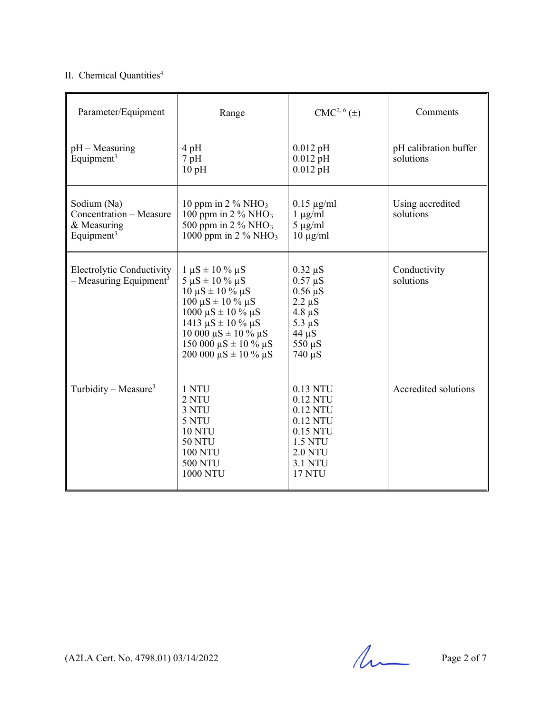#### II. Chemical Quantities<sup>4</sup>

| Parameter/Equipment                                                             | Range                                                                                                                                                                                                                                                                                    | $CMC2, 6(\pm)$                                                                                                                   | Comments                           |
|---------------------------------------------------------------------------------|------------------------------------------------------------------------------------------------------------------------------------------------------------------------------------------------------------------------------------------------------------------------------------------|----------------------------------------------------------------------------------------------------------------------------------|------------------------------------|
| $pH - Measuring$<br>Equipment <sup>3</sup>                                      | 4pH<br>$7$ pH<br>10pH                                                                                                                                                                                                                                                                    | $0.012$ pH<br>$0.012$ pH<br>$0.012$ pH                                                                                           | pH calibration buffer<br>solutions |
| Sodium (Na)<br>Concentration - Measure<br>& Measuring<br>Equipment <sup>3</sup> | 10 ppm in 2 $\%$ NHO <sub>3</sub><br>100 ppm in $2\%$ NHO <sub>3</sub><br>500 ppm in $2\%$ NHO <sub>3</sub><br>1000 ppm in $2\%$ NHO <sub>3</sub>                                                                                                                                        | $0.15 \mu g/ml$<br>$1 \mu g/ml$<br>$5 \mu g/ml$<br>$10 \mu g/ml$                                                                 | Using accredited<br>solutions      |
| <b>Electrolytic Conductivity</b><br>$-$ Measuring Equipment <sup>3</sup>        | $1 \mu S \pm 10 \% \mu S$<br>$5 \mu S \pm 10 \% \mu S$<br>$10 \mu S \pm 10 \% \mu S$<br>$100 \mu S \pm 10 \% \mu S$<br>$1000 \mu S \pm 10 \% \mu S$<br>$1413 \mu S \pm 10 \% \mu S$<br>10 000 $\mu$ S ± 10 % $\mu$ S<br>150 000 $\mu$ S ± 10 % $\mu$ S<br>200 000 $\mu$ S ± 10 % $\mu$ S | $0.32 \mu S$<br>$0.57 \mu S$<br>$0.56 \mu S$<br>$2.2 \mu S$<br>$4.8 \mu S$<br>$5.3 \mu S$<br>$44 \mu S$<br>550 µS<br>$740 \mu S$ | Conductivity<br>solutions          |
| Turbidity – Measure <sup>3</sup>                                                | 1 NTU<br>2 NTU<br>3 NTU<br>5 NTU<br><b>10 NTU</b><br><b>50 NTU</b><br><b>100 NTU</b><br><b>500 NTU</b><br><b>1000 NTU</b>                                                                                                                                                                | 0.13 NTU<br>0.12 NTU<br>0.12 NTU<br>0.12 NTU<br>0.15 NTU<br><b>1.5 NTU</b><br><b>2.0 NTU</b><br><b>3.1 NTU</b><br><b>17 NTU</b>  | Accredited solutions               |

 $(A2LA$  Cert. No. 4798.01) 03/14/2022 Page 2 of 7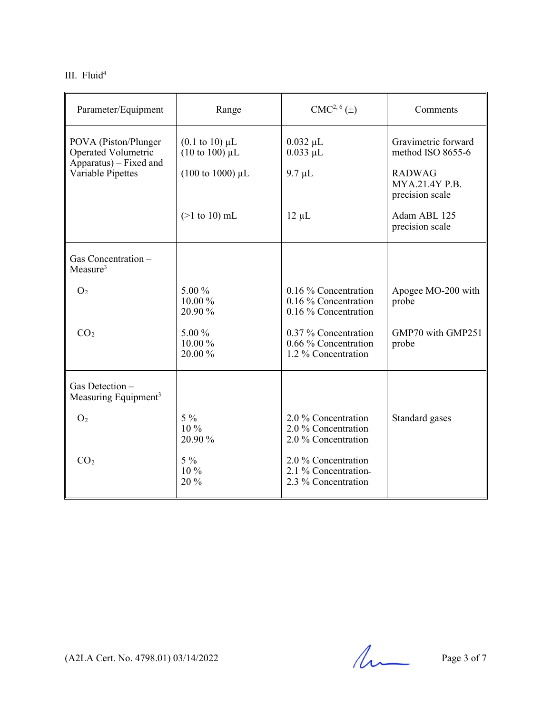III. Fluid<sup>4</sup>

| Parameter/Equipment                                                          | Range                                                                      | CMC <sup>2, 6</sup> (±)                                              | Comments                                           |
|------------------------------------------------------------------------------|----------------------------------------------------------------------------|----------------------------------------------------------------------|----------------------------------------------------|
| POVA (Piston/Plunger<br><b>Operated Volumetric</b><br>Apparatus) – Fixed and | $(0.1 \text{ to } 10) \mu L$<br>$(10 \text{ to } 100) \text{ }\mu\text{L}$ | $0.032 \mu L$<br>$0.033$ $\mu$ L                                     | Gravimetric forward<br>method ISO 8655-6           |
| Variable Pipettes                                                            | $(100 \text{ to } 1000) \text{ }\mu\text{L}$                               | $9.7 \mu L$                                                          | <b>RADWAG</b><br>MYA.21.4Y P.B.<br>precision scale |
|                                                                              | $(>1$ to 10) mL                                                            | $12 \mu L$                                                           | Adam ABL 125<br>precision scale                    |
| Gas Concentration -<br>Measure $3$                                           |                                                                            |                                                                      |                                                    |
| O <sub>2</sub>                                                               | $5.00\%$<br>$10.00\%$<br>20.90 %                                           | 0.16 % Concentration<br>0.16 % Concentration<br>0.16 % Concentration | Apogee MO-200 with<br>probe                        |
| CO <sub>2</sub>                                                              | 5.00 %<br>10.00 %<br>20.00 %                                               | 0.37 % Concentration<br>0.66 % Concentration<br>1.2 % Concentration  | GMP70 with GMP251<br>probe                         |
| Gas Detection-<br>Measuring Equipment <sup>3</sup>                           |                                                                            |                                                                      |                                                    |
| O <sub>2</sub>                                                               | $5\%$<br>$10\%$<br>20.90 %                                                 | 2.0 % Concentration<br>2.0 % Concentration<br>2.0 % Concentration    | Standard gases                                     |
| CO <sub>2</sub>                                                              | $5\%$<br>10 %<br>20 %                                                      | 2.0 % Concentration<br>2.1 % Concentration-<br>2.3 % Concentration   |                                                    |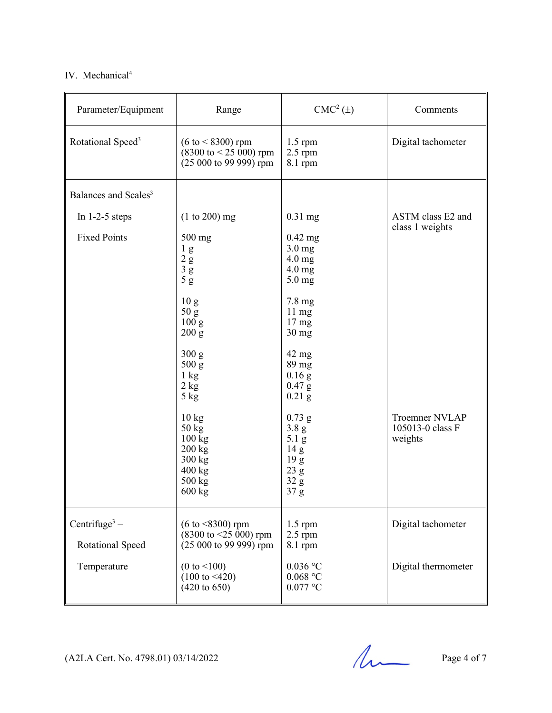#### IV. Mechanical<sup>4</sup>

| Parameter/Equipment                           | Range                                                                                                              | $CMC2(\pm)$                                                                                                                          | Comments                                             |
|-----------------------------------------------|--------------------------------------------------------------------------------------------------------------------|--------------------------------------------------------------------------------------------------------------------------------------|------------------------------------------------------|
| Rotational Speed <sup>3</sup>                 | $(6 \text{ to} < 8300)$ rpm<br>$(8300 \text{ to } 525 \text{ 000})$ rpm<br>(25 000 to 99 999) rpm                  | $1.5$ rpm<br>$2.5$ rpm<br>$8.1$ rpm                                                                                                  | Digital tachometer                                   |
| Balances and Scales <sup>3</sup>              |                                                                                                                    |                                                                                                                                      |                                                      |
| In $1-2-5$ steps<br><b>Fixed Points</b>       | $(1 to 200)$ mg<br>500 mg<br>$\frac{1}{2}$ g<br>$\frac{3}{5}$ g<br>5g                                              | $0.31$ mg<br>$0.42$ mg<br>$3.0$ mg<br>$4.0 \text{ mg}$<br>$4.0 \text{ mg}$<br>$5.0$ mg                                               | ASTM class E2 and<br>class 1 weights                 |
|                                               | 10 <sub>g</sub><br>50 g<br>100 <sub>g</sub><br>200 g                                                               | 7.8 mg<br>$11 \text{ mg}$<br>17 <sub>mg</sub><br>30 mg                                                                               |                                                      |
|                                               | 300 g<br>500 g<br>$1 \text{ kg}$<br>$2 \text{ kg}$<br>$5$ kg                                                       | $42 \text{ mg}$<br>89 mg<br>$0.16$ g<br>$0.47$ g<br>$0.21$ g                                                                         |                                                      |
|                                               | 10 kg<br>$50 \text{ kg}$<br>$100 \text{ kg}$<br>200 kg<br>300 kg<br>$400 \text{ kg}$<br>500 kg<br>$600 \text{ kg}$ | $0.73$ g<br>3.8 <sub>g</sub><br>5.1 g<br>14 <sub>g</sub><br>$19\ {\rm g}$<br>$23\ \mathrm{g}$<br>$32\ \mathrm{g}$<br>37 <sub>g</sub> | <b>Troemner NVLAP</b><br>105013-0 class F<br>weights |
| Centrifuge <sup>3</sup> –<br>Rotational Speed | $(6 \text{ to } < 8300)$ rpm<br>$(8300 \text{ to } \leq 25 \text{ 000})$ rpm<br>$(25000 \text{ to } 9999)$ rpm     | $1.5$ rpm<br>$2.5$ rpm<br>$8.1$ rpm                                                                                                  | Digital tachometer                                   |
| Temperature                                   | (0 to < 100)<br>$(100 \text{ to } 420)$<br>$(420 \text{ to } 650)$                                                 | $0.036$ °C<br>$0.068$ $^{\circ}$ C<br>$0.077$ °C                                                                                     | Digital thermometer                                  |

 $(A2LA$  Cert. No. 4798.01) 03/14/2022 Page 4 of 7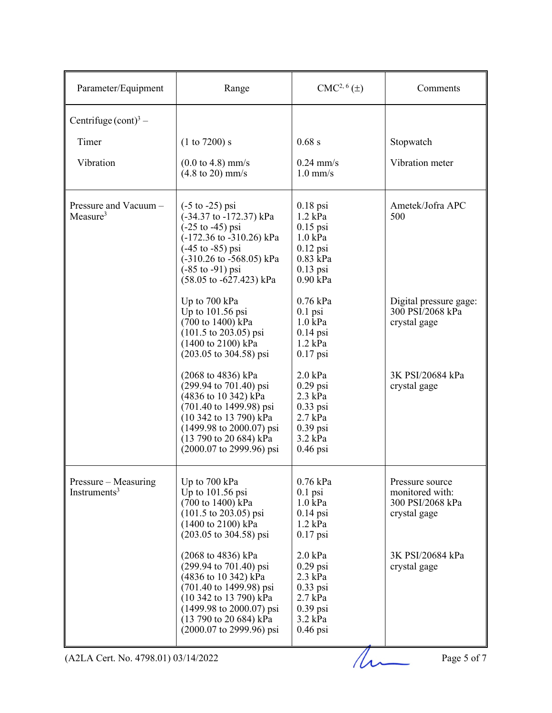| Parameter/Equipment                              | Range                                                                                                                                                                                                                                                                                               | CMC <sup>2, 6</sup> (±)                                                                                          | Comments                                                               |
|--------------------------------------------------|-----------------------------------------------------------------------------------------------------------------------------------------------------------------------------------------------------------------------------------------------------------------------------------------------------|------------------------------------------------------------------------------------------------------------------|------------------------------------------------------------------------|
| Centrifuge $(\text{cont})^3$ –                   |                                                                                                                                                                                                                                                                                                     |                                                                                                                  |                                                                        |
| Timer                                            | (1 to 7200) s                                                                                                                                                                                                                                                                                       | 0.68 s                                                                                                           | Stopwatch                                                              |
| Vibration                                        | $(0.0 \text{ to } 4.8) \text{ mm/s}$<br>$(4.8 \text{ to } 20) \text{ mm/s}$                                                                                                                                                                                                                         | $0.24$ mm/s<br>$1.0$ mm/s                                                                                        | Vibration meter                                                        |
| Pressure and Vacuum -<br>Measure <sup>3</sup>    | $(-5 \text{ to } -25)$ psi<br>(-34.37 to -172.37) kPa<br>$(-25 \text{ to } -45) \text{ psi}$<br>(-172.36 to -310.26) kPa<br>$(-45 \text{ to } -85) \text{ psi}$<br>$(-310.26 \text{ to } -568.05) \text{ kPa}$<br>$(-85 \text{ to } -91) \text{ psi}$<br>$(58.05 \text{ to } -627.423) \text{ kPa}$ | $0.18$ psi<br>$1.2$ kPa<br>$0.15$ psi<br>$1.0 \text{ kPa}$<br>$0.12$ psi<br>0.83 kPa<br>$0.13$ psi<br>0.90 kPa   | Ametek/Jofra APC<br>500                                                |
|                                                  | Up to 700 kPa<br>Up to $101.56$ psi<br>$(700 \text{ to } 1400) \text{ kPa}$<br>$(101.5 \text{ to } 203.05) \text{ psi}$<br>(1400 to 2100) kPa<br>$(203.05 \text{ to } 304.58) \text{ psi}$                                                                                                          | $0.76$ kPa<br>$0.1$ psi<br>$1.0 \text{ kPa}$<br>$0.14$ psi<br>$1.2$ kPa<br>$0.17$ psi                            | Digital pressure gage:<br>300 PSI/2068 kPa<br>crystal gage             |
|                                                  | (2068 to 4836) kPa<br>$(299.94 \text{ to } 701.40) \text{ psi}$<br>(4836 to 10 342) kPa<br>$(701.40 \text{ to } 1499.98) \text{ psi}$<br>(10 342 to 13 790) kPa<br>$(1499.98 \text{ to } 2000.07) \text{ psi}$<br>(13 790 to 20 684) kPa<br>$(2000.07 \text{ to } 2999.96) \text{ psi}$             | $2.0$ kPa<br>$0.29$ psi<br>$2.3$ kPa<br>$0.33$ psi<br>$2.7$ kPa<br>$0.39$ psi<br>$3.2$ kPa<br>$0.46$ psi         | 3K PSI/20684 kPa<br>crystal gage                                       |
| Pressure – Measuring<br>Instruments <sup>3</sup> | Up to 700 kPa<br>Up to 101.56 psi<br>(700 to 1400) kPa<br>$(101.5 \text{ to } 203.05) \text{ psi}$<br>(1400 to 2100) kPa<br>$(203.05 \text{ to } 304.58) \text{ psi}$                                                                                                                               | 0.76 kPa<br>$0.1$ psi<br>$1.0 \text{ kPa}$<br>$0.14$ psi<br>$1.2$ kPa<br>$0.17$ psi                              | Pressure source<br>monitored with:<br>300 PSI/2068 kPa<br>crystal gage |
|                                                  | (2068 to 4836) kPa<br>$(299.94 \text{ to } 701.40) \text{ psi}$<br>(4836 to 10 342) kPa<br>$(701.40 \text{ to } 1499.98) \text{ psi}$<br>(10 342 to 13 790) kPa<br>$(1499.98 \text{ to } 2000.07) \text{ psi}$<br>(13 790 to 20 684) kPa<br>(2000.07 to 2999.96) psi                                | $2.0 \text{ kPa}$<br>$0.29$ psi<br>$2.3$ kPa<br>$0.33$ psi<br>$2.7$ kPa<br>$0.39$ psi<br>$3.2$ kPa<br>$0.46$ psi | 3K PSI/20684 kPa<br>crystal gage                                       |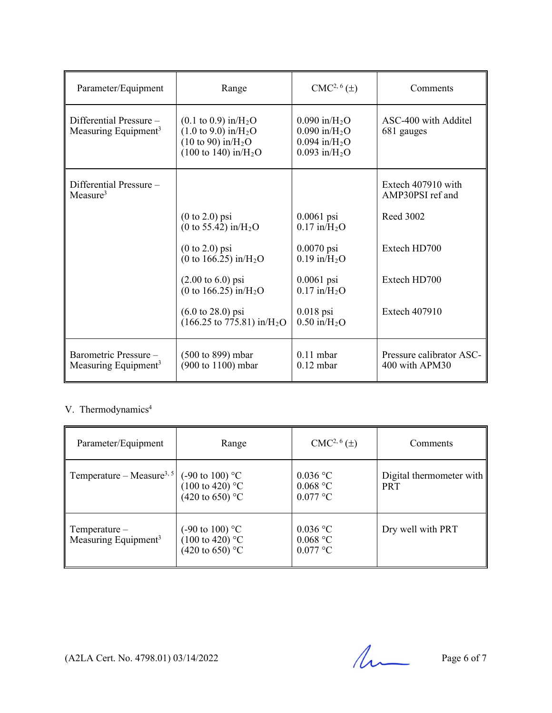| Parameter/Equipment                                         | Range                                                                                                                                                                                              | $CMC2, 6(\pm)$                                                                                                           | Comments                                   |
|-------------------------------------------------------------|----------------------------------------------------------------------------------------------------------------------------------------------------------------------------------------------------|--------------------------------------------------------------------------------------------------------------------------|--------------------------------------------|
| Differential Pressure -<br>Measuring Equipment <sup>3</sup> | $(0.1 \text{ to } 0.9) \text{ in/H}_2\text{O}$<br>$(1.0 \text{ to } 9.0) \text{ in/H}_2\text{O}$<br>$(10 \text{ to } 90) \text{ in/H}_2\text{O}$<br>$(100 \text{ to } 140) \text{ in/H}_2\text{O}$ | $0.090$ in/H <sub>2</sub> O<br>$0.090$ in/H <sub>2</sub> O<br>$0.094$ in/H <sub>2</sub> O<br>$0.093$ in/H <sub>2</sub> O | ASC-400 with Additel<br>681 gauges         |
| Differential Pressure -<br>Measure <sup>3</sup>             |                                                                                                                                                                                                    |                                                                                                                          | Extech 407910 with<br>AMP30PSI ref and     |
|                                                             | $(0 \text{ to } 2.0)$ psi<br>(0 to 55.42) in/ $H_2O$                                                                                                                                               | $0.0061$ psi<br>$0.17$ in/H <sub>2</sub> O                                                                               | Reed 3002                                  |
|                                                             | $(0 \text{ to } 2.0)$ psi<br>(0 to 166.25) in/ $H_2O$                                                                                                                                              | $0.0070$ psi<br>$0.19$ in/H <sub>2</sub> O                                                                               | Extech HD700                               |
|                                                             | $(2.00 \text{ to } 6.0) \text{ psi}$<br>(0 to 166.25) in/ $H_2O$                                                                                                                                   | $0.0061$ psi<br>$0.17$ in/ $H_2O$                                                                                        | Extech HD700                               |
|                                                             | $(6.0 \text{ to } 28.0) \text{ psi}$<br>$(166.25 \text{ to } 775.81) \text{ in/H}_2\text{O}$                                                                                                       | $0.018$ psi<br>$0.50$ in/H <sub>2</sub> O                                                                                | Extech 407910                              |
| Barometric Pressure -<br>Measuring Equipment <sup>3</sup>   | (500 to 899) mbar<br>(900 to 1100) mbar                                                                                                                                                            | $0.11$ mbar<br>$0.12$ mbar                                                                                               | Pressure calibrator ASC-<br>400 with APM30 |

#### V. Thermodynamics<sup>4</sup>

| Parameter/Equipment                                | Range                                                                                  | $CMC2, 6(\pm)$                         | Comments                               |
|----------------------------------------------------|----------------------------------------------------------------------------------------|----------------------------------------|----------------------------------------|
| Temperature – Measure <sup>3, 5</sup>              | $(-90 \text{ to } 100)$ °C<br>$(100 \text{ to } 420)$ °C<br>$(420 \text{ to } 650)$ °C | $0.036$ °C<br>$0.068$ °C<br>$0.077$ °C | Digital thermometer with<br><b>PRT</b> |
| $Temperature-$<br>Measuring Equipment <sup>3</sup> | $(-90 \text{ to } 100)$ °C<br>$(100 \text{ to } 420)$ °C<br>$(420 \text{ to } 650)$ °C | $0.036$ °C<br>$0.068$ °C<br>$0.077$ °C | Dry well with PRT                      |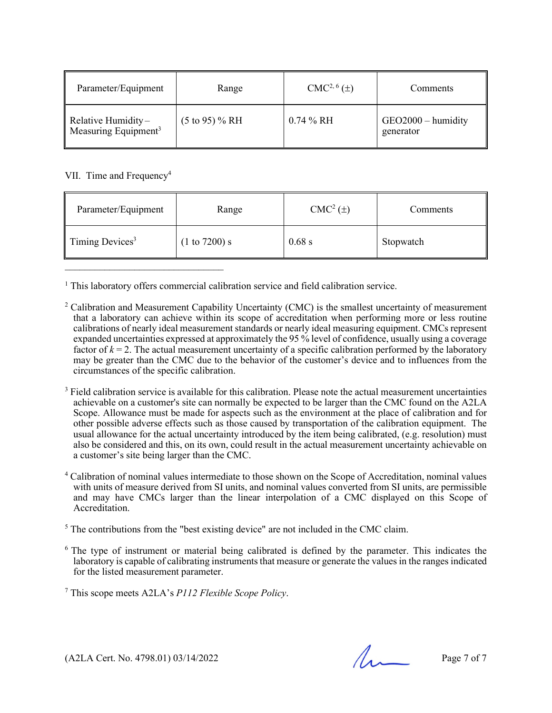| Parameter/Equipment                                    | Range                     | $CMC2, 6(\pm)$ | Comments                          |
|--------------------------------------------------------|---------------------------|----------------|-----------------------------------|
| Relative Humidity-<br>Measuring Equipment <sup>3</sup> | $(5 \text{ to } 95)$ % RH | $0.74\%$ RH    | $GEO2000 -$ humidity<br>generator |

VII. Time and Frequency<sup>4</sup>

| Parameter/Equipment                     | Range         | $CMC2(\pm)$ | Comments  |
|-----------------------------------------|---------------|-------------|-----------|
| $\parallel$ Timing Devices <sup>3</sup> | (1 to 7200) s | 0.68 s      | Stopwatch |

<sup>1</sup> This laboratory offers commercial calibration service and field calibration service.

- $2$  Calibration and Measurement Capability Uncertainty (CMC) is the smallest uncertainty of measurement that a laboratory can achieve within its scope of accreditation when performing more or less routine calibrations of nearly ideal measurement standards or nearly ideal measuring equipment. CMCs represent expanded uncertainties expressed at approximately the 95 % level of confidence, usually using a coverage factor of  $k = 2$ . The actual measurement uncertainty of a specific calibration performed by the laboratory may be greater than the CMC due to the behavior of the customer's device and to influences from the circumstances of the specific calibration.
- <sup>3</sup> Field calibration service is available for this calibration. Please note the actual measurement uncertainties achievable on a customer's site can normally be expected to be larger than the CMC found on the A2LA Scope. Allowance must be made for aspects such as the environment at the place of calibration and for other possible adverse effects such as those caused by transportation of the calibration equipment. The usual allowance for the actual uncertainty introduced by the item being calibrated, (e.g. resolution) must also be considered and this, on its own, could result in the actual measurement uncertainty achievable on a customer's site being larger than the CMC.
- <sup>4</sup> Calibration of nominal values intermediate to those shown on the Scope of Accreditation, nominal values with units of measure derived from SI units, and nominal values converted from SI units, are permissible and may have CMCs larger than the linear interpolation of a CMC displayed on this Scope of Accreditation.
- <sup>5</sup> The contributions from the "best existing device" are not included in the CMC claim.
- <sup>6</sup> The type of instrument or material being calibrated is defined by the parameter. This indicates the laboratory is capable of calibrating instruments that measure or generate the values in the ranges indicated for the listed measurement parameter.
- <sup>7</sup> This scope meets A2LA's *P112 Flexible Scope Policy*.

 $(A2LA$  Cert. No. 4798.01) 03/14/2022 Page 7 of 7